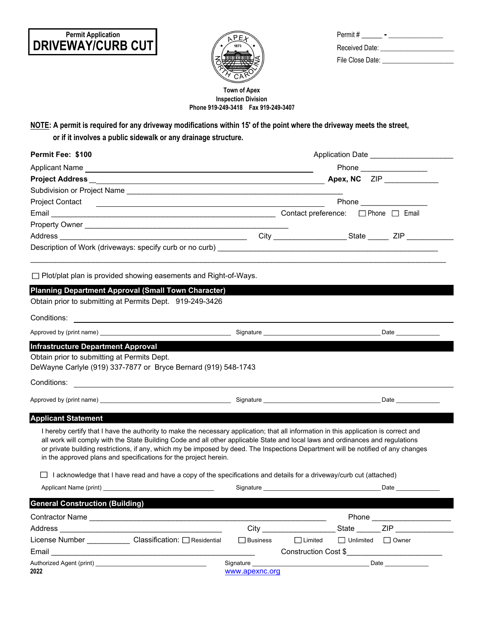## **DRIVEWAY/CURB CUT Permit Application**



| Permit#          |  |
|------------------|--|
| Received Date:   |  |
| File Close Date: |  |

## **Phone 919-249-3418 Fax 919-249-3407 Town of Apex Inspection Division**

**NOTE: A permit is required for any driveway modifications within 15' of the point where the driveway meets the street,**

 **or if it involves a public sidewalk or any drainage structure.**

| Permit Fee: \$100                                                                                                                                                                                                                                                                                                                                                                                                                                                                |                 | Application Date ________________________                                                                                                                                                                                     |                  |                                                                                                                                                                                                                                |  |  |
|----------------------------------------------------------------------------------------------------------------------------------------------------------------------------------------------------------------------------------------------------------------------------------------------------------------------------------------------------------------------------------------------------------------------------------------------------------------------------------|-----------------|-------------------------------------------------------------------------------------------------------------------------------------------------------------------------------------------------------------------------------|------------------|--------------------------------------------------------------------------------------------------------------------------------------------------------------------------------------------------------------------------------|--|--|
|                                                                                                                                                                                                                                                                                                                                                                                                                                                                                  |                 |                                                                                                                                                                                                                               |                  |                                                                                                                                                                                                                                |  |  |
|                                                                                                                                                                                                                                                                                                                                                                                                                                                                                  |                 |                                                                                                                                                                                                                               |                  | Apex, NC ZIP                                                                                                                                                                                                                   |  |  |
|                                                                                                                                                                                                                                                                                                                                                                                                                                                                                  |                 |                                                                                                                                                                                                                               |                  |                                                                                                                                                                                                                                |  |  |
|                                                                                                                                                                                                                                                                                                                                                                                                                                                                                  |                 |                                                                                                                                                                                                                               |                  |                                                                                                                                                                                                                                |  |  |
|                                                                                                                                                                                                                                                                                                                                                                                                                                                                                  |                 |                                                                                                                                                                                                                               |                  |                                                                                                                                                                                                                                |  |  |
|                                                                                                                                                                                                                                                                                                                                                                                                                                                                                  |                 |                                                                                                                                                                                                                               |                  |                                                                                                                                                                                                                                |  |  |
|                                                                                                                                                                                                                                                                                                                                                                                                                                                                                  |                 |                                                                                                                                                                                                                               |                  |                                                                                                                                                                                                                                |  |  |
|                                                                                                                                                                                                                                                                                                                                                                                                                                                                                  |                 |                                                                                                                                                                                                                               |                  |                                                                                                                                                                                                                                |  |  |
| $\Box$ Plot/plat plan is provided showing easements and Right-of-Ways.                                                                                                                                                                                                                                                                                                                                                                                                           |                 |                                                                                                                                                                                                                               |                  |                                                                                                                                                                                                                                |  |  |
| <b>Planning Department Approval (Small Town Character)</b>                                                                                                                                                                                                                                                                                                                                                                                                                       |                 |                                                                                                                                                                                                                               |                  |                                                                                                                                                                                                                                |  |  |
| Obtain prior to submitting at Permits Dept. 919-249-3426                                                                                                                                                                                                                                                                                                                                                                                                                         |                 |                                                                                                                                                                                                                               |                  |                                                                                                                                                                                                                                |  |  |
|                                                                                                                                                                                                                                                                                                                                                                                                                                                                                  |                 |                                                                                                                                                                                                                               |                  |                                                                                                                                                                                                                                |  |  |
| Approved by (print name)                     Signature                                                                                                                                                                                                                                                                                                                                                                                                                           |                 |                                                                                                                                                                                                                               |                  | Date and the state of the state of the state of the state of the state of the state of the state of the state of the state of the state of the state of the state of the state of the state of the state of the state of the s |  |  |
| Obtain prior to submitting at Permits Dept.<br>DeWayne Carlyle (919) 337-7877 or Bryce Bernard (919) 548-1743                                                                                                                                                                                                                                                                                                                                                                    |                 |                                                                                                                                                                                                                               |                  |                                                                                                                                                                                                                                |  |  |
| Approved by (print name) example and the set of the Signature Signature and the Signature of the Date of the Date of the Signature of the Signature of the Signature of the Signature of the Signature of the Signature of the                                                                                                                                                                                                                                                   |                 |                                                                                                                                                                                                                               |                  |                                                                                                                                                                                                                                |  |  |
| <b>Applicant Statement</b>                                                                                                                                                                                                                                                                                                                                                                                                                                                       |                 |                                                                                                                                                                                                                               |                  |                                                                                                                                                                                                                                |  |  |
| I hereby certify that I have the authority to make the necessary application; that all information in this application is correct and<br>all work will comply with the State Building Code and all other applicable State and local laws and ordinances and regulations<br>or private building restrictions, if any, which my be imposed by deed. The Inspections Department will be notified of any changes<br>in the approved plans and specifications for the project herein. |                 |                                                                                                                                                                                                                               |                  |                                                                                                                                                                                                                                |  |  |
| $\Box$ I acknowledge that I have read and have a copy of the specifications and details for a driveway/curb cut (attached)                                                                                                                                                                                                                                                                                                                                                       |                 |                                                                                                                                                                                                                               |                  |                                                                                                                                                                                                                                |  |  |
|                                                                                                                                                                                                                                                                                                                                                                                                                                                                                  |                 | Signature and the state of the state of the state of the state of the state of the state of the state of the state of the state of the state of the state of the state of the state of the state of the state of the state of |                  | Date <b>Date</b>                                                                                                                                                                                                               |  |  |
| <b>General Construction (Building)</b>                                                                                                                                                                                                                                                                                                                                                                                                                                           |                 |                                                                                                                                                                                                                               |                  |                                                                                                                                                                                                                                |  |  |
|                                                                                                                                                                                                                                                                                                                                                                                                                                                                                  |                 |                                                                                                                                                                                                                               |                  |                                                                                                                                                                                                                                |  |  |
|                                                                                                                                                                                                                                                                                                                                                                                                                                                                                  |                 | City <b>City</b>                                                                                                                                                                                                              | State            | ZIP <b>Service State State</b>                                                                                                                                                                                                 |  |  |
| License Number _____________ Classification: □ Residential                                                                                                                                                                                                                                                                                                                                                                                                                       | $\Box$ Business | $\Box$ Limited                                                                                                                                                                                                                | $\Box$ Unlimited | $\Box$ Owner                                                                                                                                                                                                                   |  |  |
| Email                                                                                                                                                                                                                                                                                                                                                                                                                                                                            |                 |                                                                                                                                                                                                                               |                  | Construction Cost \$                                                                                                                                                                                                           |  |  |
|                                                                                                                                                                                                                                                                                                                                                                                                                                                                                  |                 |                                                                                                                                                                                                                               |                  |                                                                                                                                                                                                                                |  |  |
| 2022                                                                                                                                                                                                                                                                                                                                                                                                                                                                             | www.apexnc.org  |                                                                                                                                                                                                                               |                  |                                                                                                                                                                                                                                |  |  |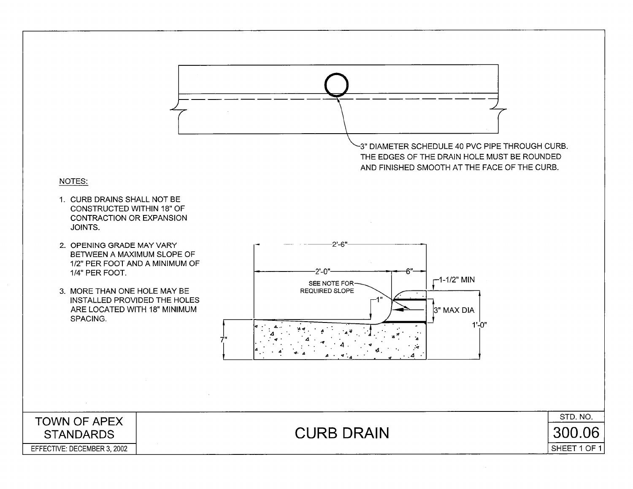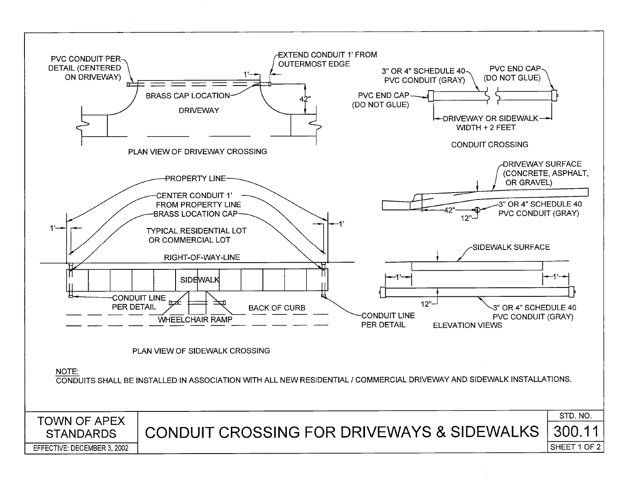